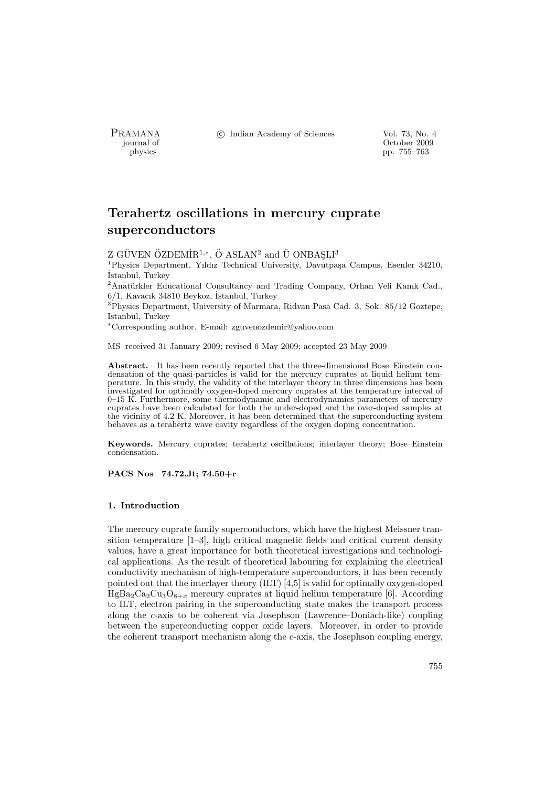PRAMANA <sup>C</sup> Indian Academy of Sciences Vol. 73, No. 4<br>
— journal of Cortober 2009

physics and the contract of the contract of the contract of the contract of the contract of the contract of the contract of the contract of the contract of the contract of the contract of the contract of the contract of th physics pp. 755–763

# Terahertz oscillations in mercury cuprate superconductors

# Z GÜVEN ÖZDEMİ $\mathrm{R}^{1,\ast},$  Ö ASLAN $^2$  and Ü ONBAŞLI $^3$

 $1$ Physics Department, Yıldız Technical University, Davutpaşa Campus, Esenler 34210, ˙Istanbul, Turkey

<sup>2</sup>Anatürkler Educational Consultancy and Trading Company, Orhan Veli Kanık Cad., 6/1, Kavacık 34810 Beykoz, ˙Istanbul, Turkey

<sup>3</sup>Physics Department, University of Marmara, Ridvan Pasa Cad. 3. Sok. 85/12 Goztepe, Istanbul, Turkey

<sup>∗</sup>Corresponding author. E-mail: zguvenozdemir@yahoo.com

MS received 31 January 2009; revised 6 May 2009; accepted 23 May 2009

Abstract. It has been recently reported that the three-dimensional Bose–Einstein condensation of the quasi-particles is valid for the mercury cuprates at liquid helium temperature. In this study, the validity of the interlayer theory in three dimensions has been investigated for optimally oxygen-doped mercury cuprates at the temperature interval of 0–15 K. Furthermore, some thermodynamic and electrodynamics parameters of mercury cuprates have been calculated for both the under-doped and the over-doped samples at the vicinity of 4.2 K. Moreover, it has been determined that the superconducting system behaves as a terahertz wave cavity regardless of the oxygen doping concentration.

Keywords. Mercury cuprates; terahertz oscillations; interlayer theory; Bose–Einstein condensation.

PACS Nos 74.72.Jt; 74.50+r

## 1. Introduction

The mercury cuprate family superconductors, which have the highest Meissner transition temperature [1–3], high critical magnetic fields and critical current density values, have a great importance for both theoretical investigations and technological applications. As the result of theoretical labouring for explaining the electrical conductivity mechanism of high-temperature superconductors, it has been recently pointed out that the interlayer theory (ILT) [4,5] is valid for optimally oxygen-doped  $HgBa_2Ca_2Cu_3O_{8+x}$  mercury cuprates at liquid helium temperature [6]. According to ILT, electron pairing in the superconducting state makes the transport process along the c-axis to be coherent via Josephson (Lawrence–Doniach-like) coupling between the superconducting copper oxide layers. Moreover, in order to provide the coherent transport mechanism along the c-axis, the Josephson coupling energy,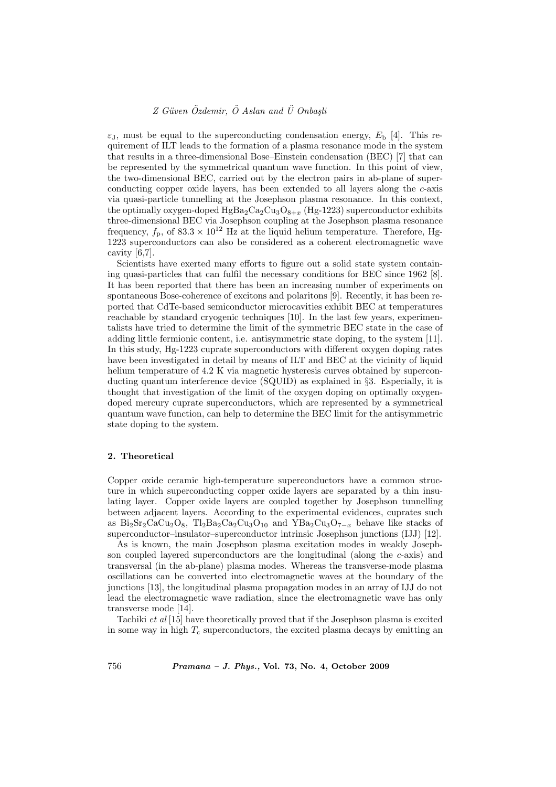# $Z$  Güven Özdemir, Ö Aslan and Ü Onbasli

 $\varepsilon_{J}$ , must be equal to the superconducting condensation energy,  $E_{b}$  [4]. This requirement of ILT leads to the formation of a plasma resonance mode in the system that results in a three-dimensional Bose–Einstein condensation (BEC) [7] that can be represented by the symmetrical quantum wave function. In this point of view, the two-dimensional BEC, carried out by the electron pairs in ab-plane of superconducting copper oxide layers, has been extended to all layers along the c-axis via quasi-particle tunnelling at the Josephson plasma resonance. In this context, the optimally oxygen-doped  $HgBa_2Ca_2Cu_3O_{8+x}$  (Hg-1223) superconductor exhibits three-dimensional BEC via Josephson coupling at the Josephson plasma resonance frequency,  $f_p$ , of  $83.3 \times 10^{12}$  Hz at the liquid helium temperature. Therefore, Hg-1223 superconductors can also be considered as a coherent electromagnetic wave cavity [6,7].

Scientists have exerted many efforts to figure out a solid state system containing quasi-particles that can fulfil the necessary conditions for BEC since 1962 [8]. It has been reported that there has been an increasing number of experiments on spontaneous Bose-coherence of excitons and polaritons [9]. Recently, it has been reported that CdTe-based semiconductor microcavities exhibit BEC at temperatures reachable by standard cryogenic techniques [10]. In the last few years, experimentalists have tried to determine the limit of the symmetric BEC state in the case of adding little fermionic content, i.e. antisymmetric state doping, to the system [11]. In this study, Hg-1223 cuprate superconductors with different oxygen doping rates have been investigated in detail by means of ILT and BEC at the vicinity of liquid helium temperature of 4.2 K via magnetic hysteresis curves obtained by superconducting quantum interference device (SQUID) as explained in §3. Especially, it is thought that investigation of the limit of the oxygen doping on optimally oxygendoped mercury cuprate superconductors, which are represented by a symmetrical quantum wave function, can help to determine the BEC limit for the antisymmetric state doping to the system.

#### 2. Theoretical

Copper oxide ceramic high-temperature superconductors have a common structure in which superconducting copper oxide layers are separated by a thin insulating layer. Copper oxide layers are coupled together by Josephson tunnelling between adjacent layers. According to the experimental evidences, cuprates such as  $Bi_2Sr_2CaCu_2O_8$ ,  $Tl_2Ba_2Ca_2Cu_3O_{10}$  and  $YBa_2Cu_3O_{7-x}$  behave like stacks of superconductor–insulator–superconductor intrinsic Josephson junctions (IJJ) [12].

As is known, the main Josephson plasma excitation modes in weakly Josephson coupled layered superconductors are the longitudinal (along the c-axis) and transversal (in the ab-plane) plasma modes. Whereas the transverse-mode plasma oscillations can be converted into electromagnetic waves at the boundary of the junctions [13], the longitudinal plasma propagation modes in an array of IJJ do not lead the electromagnetic wave radiation, since the electromagnetic wave has only transverse mode [14].

Tachiki et al [15] have theoretically proved that if the Josephson plasma is excited in some way in high  $T_c$  superconductors, the excited plasma decays by emitting an

756 Pramana – J. Phys., Vol. 73, No. 4, October 2009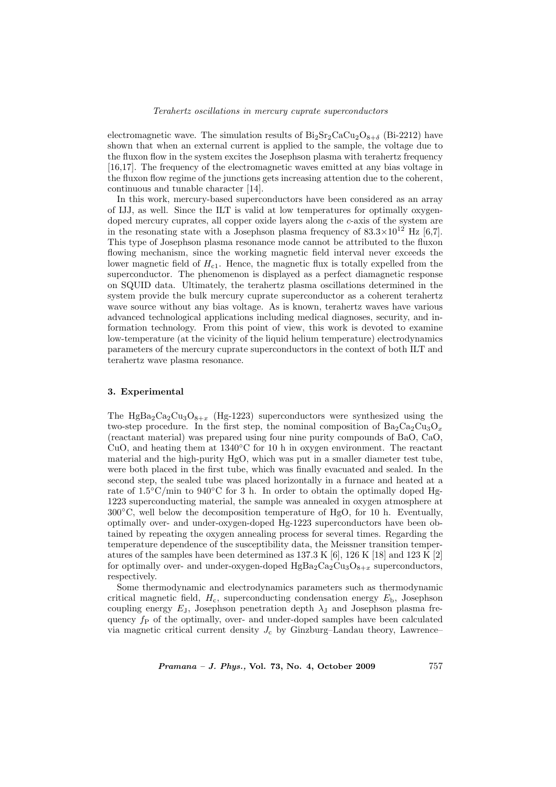electromagnetic wave. The simulation results of  $Bi_2Sr_2CaCu_2O_{8+\delta}$  (Bi-2212) have shown that when an external current is applied to the sample, the voltage due to the fluxon flow in the system excites the Josephson plasma with terahertz frequency [16,17]. The frequency of the electromagnetic waves emitted at any bias voltage in the fluxon flow regime of the junctions gets increasing attention due to the coherent, continuous and tunable character [14].

In this work, mercury-based superconductors have been considered as an array of IJJ, as well. Since the ILT is valid at low temperatures for optimally oxygendoped mercury cuprates, all copper oxide layers along the c-axis of the system are in the resonating state with a Josephson plasma frequency of  $83.3\times10^{12}$  Hz [6,7]. This type of Josephson plasma resonance mode cannot be attributed to the fluxon flowing mechanism, since the working magnetic field interval never exceeds the lower magnetic field of  $H_{c1}$ . Hence, the magnetic flux is totally expelled from the superconductor. The phenomenon is displayed as a perfect diamagnetic response on SQUID data. Ultimately, the terahertz plasma oscillations determined in the system provide the bulk mercury cuprate superconductor as a coherent terahertz wave source without any bias voltage. As is known, terahertz waves have various advanced technological applications including medical diagnoses, security, and information technology. From this point of view, this work is devoted to examine low-temperature (at the vicinity of the liquid helium temperature) electrodynamics parameters of the mercury cuprate superconductors in the context of both ILT and terahertz wave plasma resonance.

### 3. Experimental

The HgBa<sub>2</sub>Ca<sub>2</sub>Cu<sub>3</sub>O<sub>8+x</sub> (Hg-1223) superconductors were synthesized using the two-step procedure. In the first step, the nominal composition of  $Ba_2Ca_2Cu_3O_x$ (reactant material) was prepared using four nine purity compounds of BaO, CaO, CuO, and heating them at  $1340\textdegree$ C for 10 h in oxygen environment. The reactant material and the high-purity HgO, which was put in a smaller diameter test tube, were both placed in the first tube, which was finally evacuated and sealed. In the second step, the sealed tube was placed horizontally in a furnace and heated at a rate of  $1.5\degree$ C/min to  $940\degree$ C for 3 h. In order to obtain the optimally doped Hg-1223 superconducting material, the sample was annealed in oxygen atmosphere at  $300\degree$ C, well below the decomposition temperature of HgO, for 10 h. Eventually, optimally over- and under-oxygen-doped Hg-1223 superconductors have been obtained by repeating the oxygen annealing process for several times. Regarding the temperature dependence of the susceptibility data, the Meissner transition temperatures of the samples have been determined as  $137.3 \text{ K } [6]$ ,  $126 \text{ K } [18]$  and  $123 \text{ K } [2]$ for optimally over- and under-oxygen-doped  $HgBa_2Ca_2Cu_3O_{8+x}$  superconductors, respectively.

Some thermodynamic and electrodynamics parameters such as thermodynamic critical magnetic field,  $H_c$ , superconducting condensation energy  $E<sub>b</sub>$ , Josephson coupling energy  $E_J$ , Josephson penetration depth  $\lambda_J$  and Josephson plasma frequency  $f_P$  of the optimally, over- and under-doped samples have been calculated via magnetic critical current density  $J_c$  by Ginzburg–Landau theory, Lawrence–

Pramana – J. Phys., Vol. 73, No. 4, October 2009 757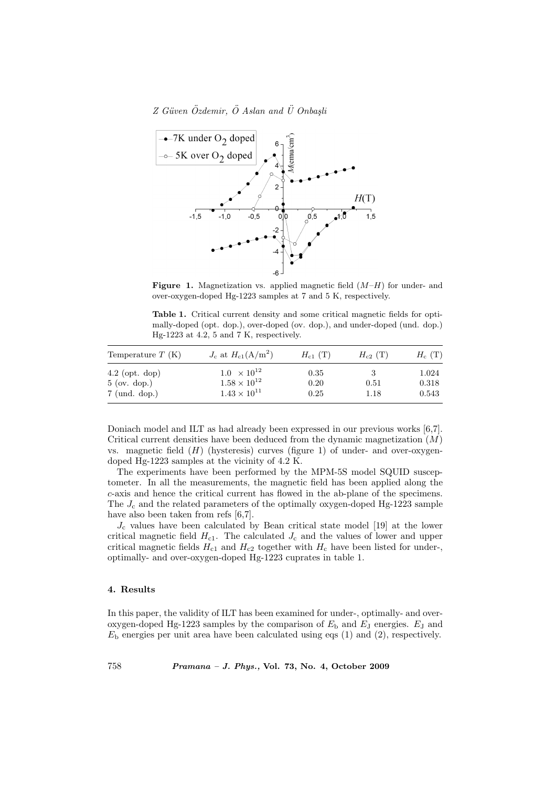$Z$  Güven Özdemir, Ö Aslan and Ü Onbaşli



**Figure 1.** Magnetization vs. applied magnetic field  $(M-H)$  for under- and over-oxygen-doped Hg-1223 samples at 7 and 5 K, respectively.

Table 1. Critical current density and some critical magnetic fields for optimally-doped (opt. dop.), over-doped (ov. dop.), and under-doped (und. dop.) Hg-1223 at 4.2, 5 and 7 K, respectively.

| Temperature $T(K)$ | $J_c$ at $H_{c1}(\text{A}/\text{m}^2)$ | $H_{c1}$ (T) | $H_{c2}$ (T) | $H_c(T)$ |
|--------------------|----------------------------------------|--------------|--------------|----------|
| $4.2$ (opt. dop)   | $1.0 \times 10^{12}$                   | 0.35         |              | 1.024    |
| $5$ (ov. dop.)     | $1.58 \times 10^{12}$                  | 0.20         | 0.51         | 0.318    |
| $7 \pmod{3}$       | $1.43 \times 10^{11}$                  | 0.25         | 1.18         | 0.543    |

Doniach model and ILT as had already been expressed in our previous works [6,7]. Critical current densities have been deduced from the dynamic magnetization  $(M)$ vs. magnetic field  $(H)$  (hysteresis) curves (figure 1) of under- and over-oxygendoped Hg-1223 samples at the vicinity of 4.2 K.

The experiments have been performed by the MPM-5S model SQUID susceptometer. In all the measurements, the magnetic field has been applied along the c-axis and hence the critical current has flowed in the ab-plane of the specimens. The  $J_c$  and the related parameters of the optimally oxygen-doped Hg-1223 sample have also been taken from refs  $[6,7]$ .

 $J_c$  values have been calculated by Bean critical state model [19] at the lower critical magnetic field  $H_{c1}$ . The calculated  $J_c$  and the values of lower and upper critical magnetic fields  $H_{c1}$  and  $H_{c2}$  together with  $H_c$  have been listed for under-, optimally- and over-oxygen-doped Hg-1223 cuprates in table 1.

## 4. Results

In this paper, the validity of ILT has been examined for under-, optimally- and overoxygen-doped Hg-1223 samples by the comparison of  $E<sub>b</sub>$  and  $E<sub>J</sub>$  energies.  $E<sub>J</sub>$  and  $E<sub>b</sub>$  energies per unit area have been calculated using eqs (1) and (2), respectively.

758 Pramana – J. Phys., Vol. 73, No. 4, October 2009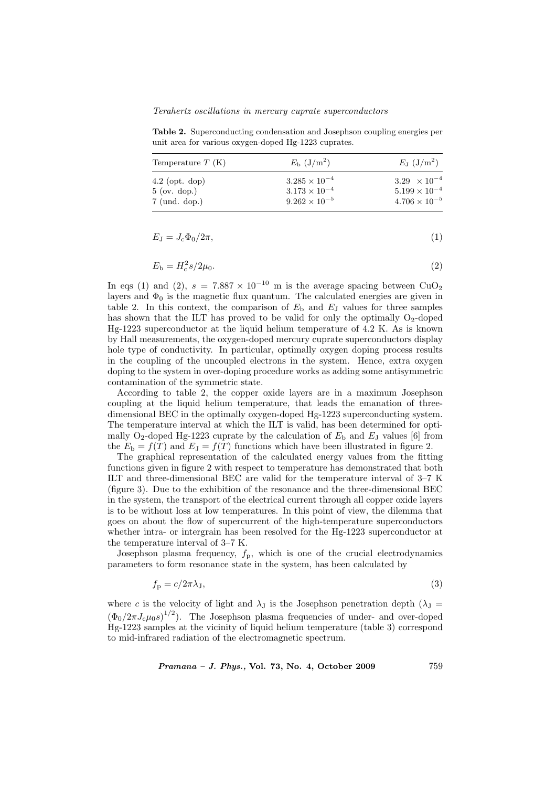Terahertz oscillations in mercury cuprate superconductors

Table 2. Superconducting condensation and Josephson coupling energies per unit area for various oxygen-doped Hg-1223 cuprates.

| Temperature $T(K)$      | $E_{\rm b}$ $\rm (J/m^2)$ | $E_{\rm J}$ ( ${\rm J/m^2}$ )  |
|-------------------------|---------------------------|--------------------------------|
| $4.2$ (opt. dop)        | $3.285 \times 10^{-4}$    | 3.29 $\times$ 10 <sup>-4</sup> |
| $5$ (ov. dop.)          | $3.173 \times 10^{-4}$    | $5.199 \times 10^{-4}$         |
| $7 \text{ (und. dop.)}$ | $9.262 \times 10^{-5}$    | $4.706 \times 10^{-5}$         |

$$
E_{\rm J} = J_{\rm c} \Phi_0 / 2\pi,\tag{1}
$$

$$
E_{\rm b} = H_{\rm c}^2 s / 2\mu_0. \tag{2}
$$

In eqs (1) and (2),  $s = 7.887 \times 10^{-10}$  m is the average spacing between CuO<sub>2</sub> layers and  $\Phi_0$  is the magnetic flux quantum. The calculated energies are given in table 2. In this context, the comparison of  $E<sub>b</sub>$  and  $E<sub>J</sub>$  values for three samples has shown that the ILT has proved to be valid for only the optimally  $O_2$ -doped Hg-1223 superconductor at the liquid helium temperature of 4.2 K. As is known by Hall measurements, the oxygen-doped mercury cuprate superconductors display hole type of conductivity. In particular, optimally oxygen doping process results in the coupling of the uncoupled electrons in the system. Hence, extra oxygen doping to the system in over-doping procedure works as adding some antisymmetric contamination of the symmetric state.

According to table 2, the copper oxide layers are in a maximum Josephson coupling at the liquid helium temperature, that leads the emanation of threedimensional BEC in the optimally oxygen-doped Hg-1223 superconducting system. The temperature interval at which the ILT is valid, has been determined for optimally O<sub>2</sub>-doped Hg-1223 cuprate by the calculation of  $E<sub>b</sub>$  and  $E<sub>J</sub>$  values [6] from the  $E_{\rm b} = f(T)$  and  $E_{\rm J} = f(T)$  functions which have been illustrated in figure 2.

The graphical representation of the calculated energy values from the fitting functions given in figure 2 with respect to temperature has demonstrated that both ILT and three-dimensional BEC are valid for the temperature interval of 3–7 K (figure 3). Due to the exhibition of the resonance and the three-dimensional BEC in the system, the transport of the electrical current through all copper oxide layers is to be without loss at low temperatures. In this point of view, the dilemma that goes on about the flow of supercurrent of the high-temperature superconductors whether intra- or intergrain has been resolved for the Hg-1223 superconductor at the temperature interval of 3–7 K.

Josephson plasma frequency,  $f_p$ , which is one of the crucial electrodynamics parameters to form resonance state in the system, has been calculated by

$$
f_{\rm p} = c/2\pi\lambda_{\rm J},\tag{3}
$$

where c is the velocity of light and  $\lambda_J$  is the Josephson penetration depth ( $\lambda_J$  =  $(\Phi_0/2\pi J_c\mu_0 s)^{1/2}$ ). The Josephson plasma frequencies of under- and over-doped Hg-1223 samples at the vicinity of liquid helium temperature (table 3) correspond to mid-infrared radiation of the electromagnetic spectrum.

Pramana – J. Phys., Vol. 73, No. 4, October 2009 759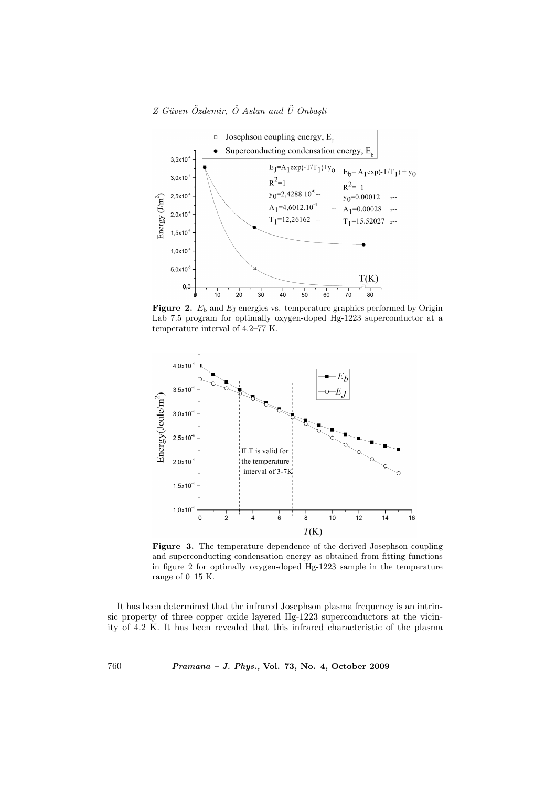# $Z$  Güven Özdemir, Ö Aslan and Ü Onbaşli



Figure 2.  $E<sub>b</sub>$  and  $E<sub>J</sub>$  energies vs. temperature graphics performed by Origin Lab 7.5 program for optimally oxygen-doped Hg-1223 superconductor at a temperature interval of 4.2–77 K.



Figure 3. The temperature dependence of the derived Josephson coupling and superconducting condensation energy as obtained from fitting functions in figure 2 for optimally oxygen-doped Hg-1223 sample in the temperature range of 0–15 K.

It has been determined that the infrared Josephson plasma frequency is an intrinsic property of three copper oxide layered Hg-1223 superconductors at the vicinity of 4.2 K. It has been revealed that this infrared characteristic of the plasma

760 Pramana – J. Phys., Vol. 73, No. 4, October 2009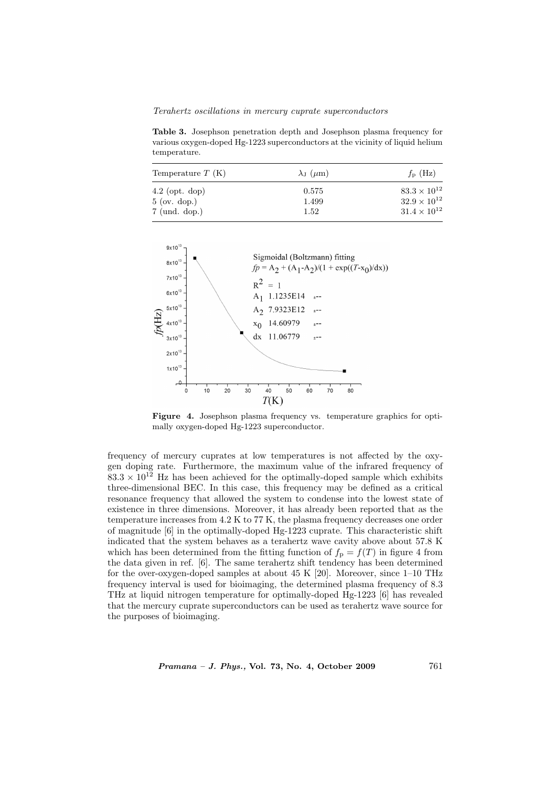Terahertz oscillations in mercury cuprate superconductors

Table 3. Josephson penetration depth and Josephson plasma frequency for various oxygen-doped Hg-1223 superconductors at the vicinity of liquid helium temperature.

| Temperature $T(K)$ | $\lambda_{\rm J}$ ( $\mu$ m) | $f_{\rm p}$ (Hz)      |
|--------------------|------------------------------|-----------------------|
| $4.2$ (opt. dop)   | 0.575                        | $83.3 \times 10^{12}$ |
| $5$ (ov. dop.)     | 1.499                        | $32.9 \times 10^{12}$ |
| $7 \pmod{3}$       | 1.52                         | $31.4 \times 10^{12}$ |



Figure 4. Josephson plasma frequency vs. temperature graphics for optimally oxygen-doped Hg-1223 superconductor.

frequency of mercury cuprates at low temperatures is not affected by the oxygen doping rate. Furthermore, the maximum value of the infrared frequency of  $83.3 \times 10^{12}$  Hz has been achieved for the optimally-doped sample which exhibits three-dimensional BEC. In this case, this frequency may be defined as a critical resonance frequency that allowed the system to condense into the lowest state of existence in three dimensions. Moreover, it has already been reported that as the temperature increases from 4.2 K to 77 K, the plasma frequency decreases one order of magnitude [6] in the optimally-doped Hg-1223 cuprate. This characteristic shift indicated that the system behaves as a terahertz wave cavity above about 57.8 K which has been determined from the fitting function of  $f_p = f(T)$  in figure 4 from the data given in ref. [6]. The same terahertz shift tendency has been determined for the over-oxygen-doped samples at about 45 K [20]. Moreover, since  $1-10$  THz frequency interval is used for bioimaging, the determined plasma frequency of 8.3 THz at liquid nitrogen temperature for optimally-doped Hg-1223 [6] has revealed that the mercury cuprate superconductors can be used as terahertz wave source for the purposes of bioimaging.

 $Pramana - J. Phys., Vol. 73, No. 4, October 2009 761$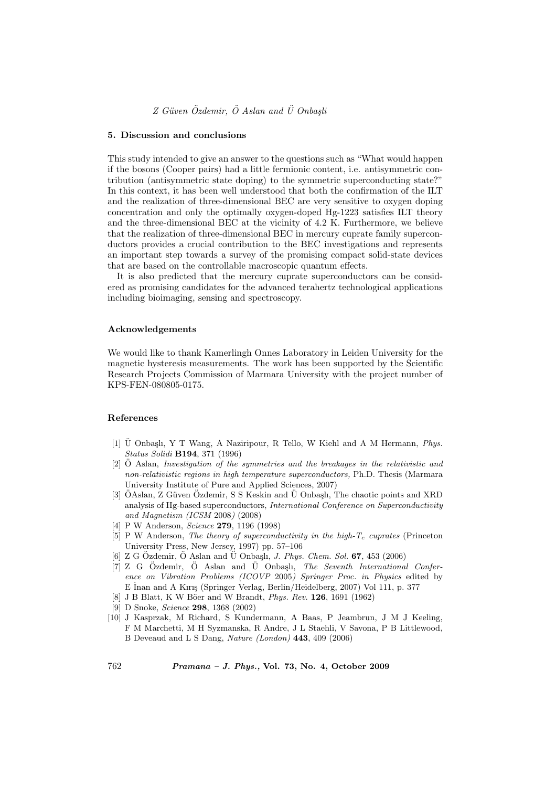#### 5. Discussion and conclusions

This study intended to give an answer to the questions such as "What would happen if the bosons (Cooper pairs) had a little fermionic content, i.e. antisymmetric contribution (antisymmetric state doping) to the symmetric superconducting state?" In this context, it has been well understood that both the confirmation of the ILT and the realization of three-dimensional BEC are very sensitive to oxygen doping concentration and only the optimally oxygen-doped Hg-1223 satisfies ILT theory and the three-dimensional BEC at the vicinity of 4.2 K. Furthermore, we believe that the realization of three-dimensional BEC in mercury cuprate family superconductors provides a crucial contribution to the BEC investigations and represents an important step towards a survey of the promising compact solid-state devices that are based on the controllable macroscopic quantum effects.

It is also predicted that the mercury cuprate superconductors can be considered as promising candidates for the advanced terahertz technological applications including bioimaging, sensing and spectroscopy.

#### Acknowledgements

We would like to thank Kamerlingh Onnes Laboratory in Leiden University for the magnetic hysteresis measurements. The work has been supported by the Scientific Research Projects Commission of Marmara University with the project number of KPS-FEN-080805-0175.

#### References

- [1]  $\ddot{U}$  Onbaşlı, Y T Wang, A Naziripour, R Tello, W Kiehl and A M Hermann, *Phys.* Status Solidi B194, 371 (1996)
- $[2]$   $\ddot{O}$  Aslan, *Investigation of the symmetries and the breakages in the relativistic and* non-relativistic regions in high temperature superconductors, Ph.D. Thesis (Marmara University Institute of Pure and Applied Sciences, 2007)
- [3] OAslan, Z Güven Özdemir, S S Keskin and Ü Onbaşlı, The chaotic points and XRD analysis of Hg-based superconductors, International Conference on Superconductivity and Magnetism (ICSM 2008) (2008)
- [4] P W Anderson, *Science* **279**, 1196 (1998)
- [5] P W Anderson, The theory of superconductivity in the high- $T_c$  cuprates (Princeton University Press, New Jersey, 1997) pp. 57–106
- [6] Z G Özdemir, Ö Aslan and Ü Onbaşlı, *J. Phys. Chem. Sol.* 67, 453 (2006)
- $[7]$  Z G Özdemir, Ö Aslan and Ü Onbaşlı, The Seventh International Conference on Vibration Problems (ICOVP 2005) Springer Proc. in Physics edited by E İnan and A Kırış (Springer Verlag, Berlin/Heidelberg, 2007) Vol 111, p. 377
- [8] J B Blatt, K W Böer and W Brandt, *Phys. Rev.* **126**, 1691 (1962)
- [9] D Snoke, Science 298, 1368 (2002)
- [10] J Kasprzak, M Richard, S Kundermann, A Baas, P Jeambrun, J M J Keeling, F M Marchetti, M H Syzmanska, R Andre, J L Staehli, V Savona, P B Littlewood, B Deveaud and L S Dang, Nature (London) 443, 409 (2006)